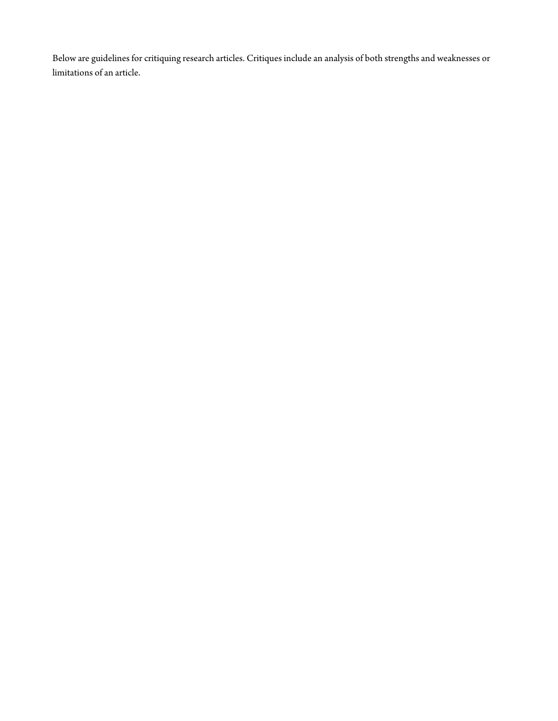Below are guidelines for critiquing research articles. Critiques include an analysis of both strengths and weaknesses or limitations of an article.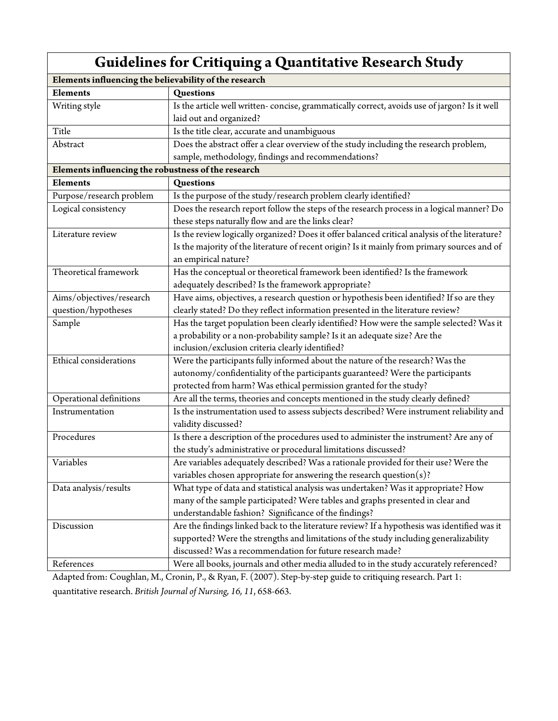| <b>Guidelines for Critiquing a Quantitative Research Study</b> |                                                                                                |  |
|----------------------------------------------------------------|------------------------------------------------------------------------------------------------|--|
| Elements influencing the believability of the research         |                                                                                                |  |
| <b>Elements</b>                                                | Questions                                                                                      |  |
| Writing style                                                  | Is the article well written-concise, grammatically correct, avoids use of jargon? Is it well   |  |
|                                                                | laid out and organized?                                                                        |  |
| Title                                                          | Is the title clear, accurate and unambiguous                                                   |  |
| Abstract                                                       | Does the abstract offer a clear overview of the study including the research problem,          |  |
|                                                                | sample, methodology, findings and recommendations?                                             |  |
| Elements influencing the robustness of the research            |                                                                                                |  |
| <b>Elements</b>                                                | Questions                                                                                      |  |
| Purpose/research problem                                       | Is the purpose of the study/research problem clearly identified?                               |  |
| Logical consistency                                            | Does the research report follow the steps of the research process in a logical manner? Do      |  |
|                                                                | these steps naturally flow and are the links clear?                                            |  |
| Literature review                                              | Is the review logically organized? Does it offer balanced critical analysis of the literature? |  |
|                                                                | Is the majority of the literature of recent origin? Is it mainly from primary sources and of   |  |
|                                                                | an empirical nature?                                                                           |  |
| Theoretical framework                                          | Has the conceptual or theoretical framework been identified? Is the framework                  |  |
|                                                                | adequately described? Is the framework appropriate?                                            |  |
| Aims/objectives/research                                       | Have aims, objectives, a research question or hypothesis been identified? If so are they       |  |
| question/hypotheses                                            | clearly stated? Do they reflect information presented in the literature review?                |  |
| Sample                                                         | Has the target population been clearly identified? How were the sample selected? Was it        |  |
|                                                                | a probability or a non-probability sample? Is it an adequate size? Are the                     |  |
|                                                                | inclusion/exclusion criteria clearly identified?                                               |  |
| Ethical considerations                                         | Were the participants fully informed about the nature of the research? Was the                 |  |
|                                                                | autonomy/confidentiality of the participants guaranteed? Were the participants                 |  |
|                                                                | protected from harm? Was ethical permission granted for the study?                             |  |
| Operational definitions                                        | Are all the terms, theories and concepts mentioned in the study clearly defined?               |  |
| Instrumentation                                                | Is the instrumentation used to assess subjects described? Were instrument reliability and      |  |
|                                                                | validity discussed?                                                                            |  |
| Procedures                                                     | Is there a description of the procedures used to administer the instrument? Are any of         |  |
|                                                                | the study's administrative or procedural limitations discussed?                                |  |
| Variables                                                      | Are variables adequately described? Was a rationale provided for their use? Were the           |  |
|                                                                | variables chosen appropriate for answering the research question $(s)$ ?                       |  |
| Data analysis/results                                          | What type of data and statistical analysis was undertaken? Was it appropriate? How             |  |
|                                                                | many of the sample participated? Were tables and graphs presented in clear and                 |  |
|                                                                | understandable fashion? Significance of the findings?                                          |  |
| Discussion                                                     | Are the findings linked back to the literature review? If a hypothesis was identified was it   |  |
|                                                                | supported? Were the strengths and limitations of the study including generalizability          |  |
|                                                                | discussed? Was a recommendation for future research made?                                      |  |
| References                                                     | Were all books, journals and other media alluded to in the study accurately referenced?        |  |

Adapted from: Coughlan, M., Cronin, P., & Ryan, F. (2007). Step-by-step guide to critiquing research. Part 1: quantitative research. *British Journal of Nursing, 16, 11*, 658-663.